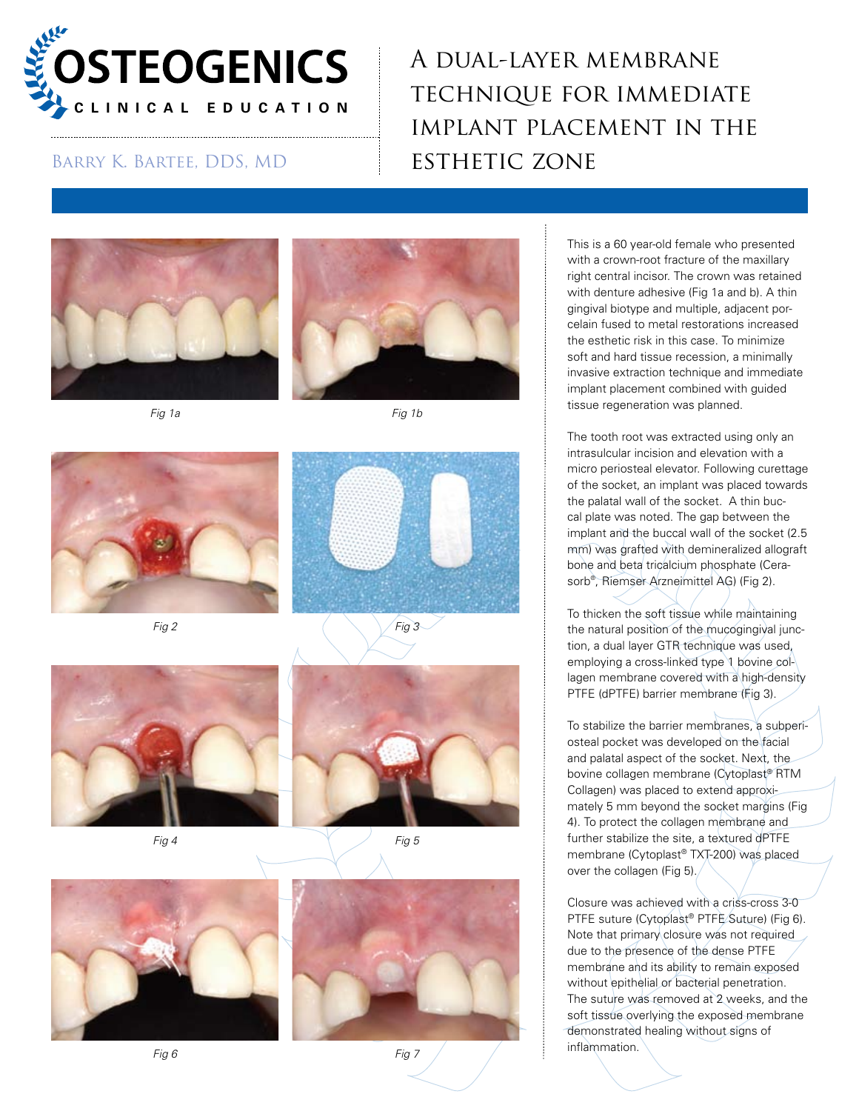

## A dual-layer membrane technique for immediate implant placement in the BARRY K. BARTEE, DDS, MD ESTHETIC ZONE















*Fig 4 Fig 5*







This is a 60 year-old female who presented with a crown-root fracture of the maxillary right central incisor. The crown was retained with denture adhesive (Fig 1a and b). A thin gingival biotype and multiple, adjacent porcelain fused to metal restorations increased the esthetic risk in this case. To minimize soft and hard tissue recession, a minimally invasive extraction technique and immediate implant placement combined with guided tissue regeneration was planned.

The tooth root was extracted using only an intrasulcular incision and elevation with a micro periosteal elevator. Following curettage of the socket, an implant was placed towards the palatal wall of the socket. A thin buccal plate was noted. The gap between the implant and the buccal wall of the socket (2.5 mm) was grafted with demineralized allograft bone and beta tricalcium phosphate (Cerasorb® , Riemser Arzneimittel AG) (Fig 2).

To thicken the soft tissue while maintaining the natural position of the mucogingival junction, a dual layer GTR technique was used, employing a cross-linked type 1 bovine collagen membrane covered with a high-density PTFE (dPTFE) barrier membrane (Fig 3).

To stabilize the barrier membranes, a subperiosteal pocket was developed on the facial and palatal aspect of the socket. Next, the bovine collagen membrane (Cytoplast® RTM Collagen) was placed to extend approximately 5 mm beyond the socket margins (Fig 4). To protect the collagen membrane and further stabilize the site, a textured dPTFE membrane (Cytoplast® TXT-200) was placed over the collagen (Fig 5).

Closure was achieved with a criss-cross 3-0 PTFE suture (Cytoplast® PTFE Suture) (Fig 6). Note that primary closure was not required due to the presence of the dense PTFE membrane and its ability to remain exposed without epithelial or bacterial penetration. The suture was removed at 2 weeks, and the soft tissue overlying the exposed membrane demonstrated healing without signs of inflammation.

*Fig 6 Fig 7*